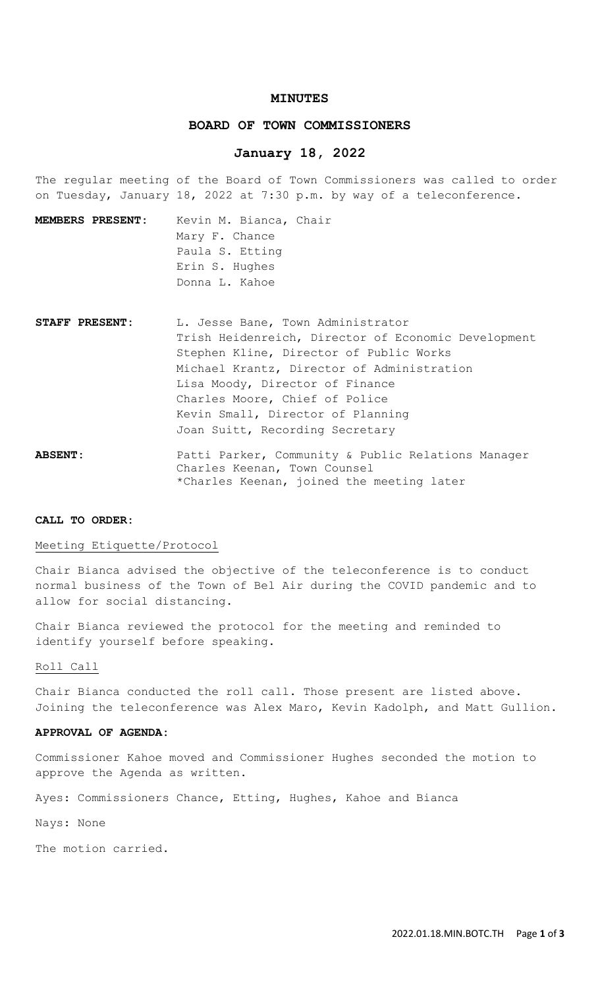#### **MINUTES**

## **BOARD OF TOWN COMMISSIONERS**

# **January 18, 2022**

The regular meeting of the Board of Town Commissioners was called to order on Tuesday, January 18, 2022 at 7:30 p.m. by way of a teleconference.

- **MEMBERS PRESENT:** Kevin M. Bianca, Chair Mary F. Chance Paula S. Etting Erin S. Hughes Donna L. Kahoe
- STAFF PRESENT: L. Jesse Bane, Town Administrator Trish Heidenreich, Director of Economic Development Stephen Kline, Director of Public Works Michael Krantz, Director of Administration Lisa Moody, Director of Finance Charles Moore, Chief of Police Kevin Small, Director of Planning Joan Suitt, Recording Secretary
- **ABSENT:** Patti Parker, Community & Public Relations Manager Charles Keenan, Town Counsel \*Charles Keenan, joined the meeting later

#### **CALL TO ORDER:**

# Meeting Etiquette/Protocol

Chair Bianca advised the objective of the teleconference is to conduct normal business of the Town of Bel Air during the COVID pandemic and to allow for social distancing.

Chair Bianca reviewed the protocol for the meeting and reminded to identify yourself before speaking.

## Roll Call

Chair Bianca conducted the roll call. Those present are listed above. Joining the teleconference was Alex Maro, Kevin Kadolph, and Matt Gullion.

## **APPROVAL OF AGENDA:**

Commissioner Kahoe moved and Commissioner Hughes seconded the motion to approve the Agenda as written.

Ayes: Commissioners Chance, Etting, Hughes, Kahoe and Bianca

Nays: None

The motion carried.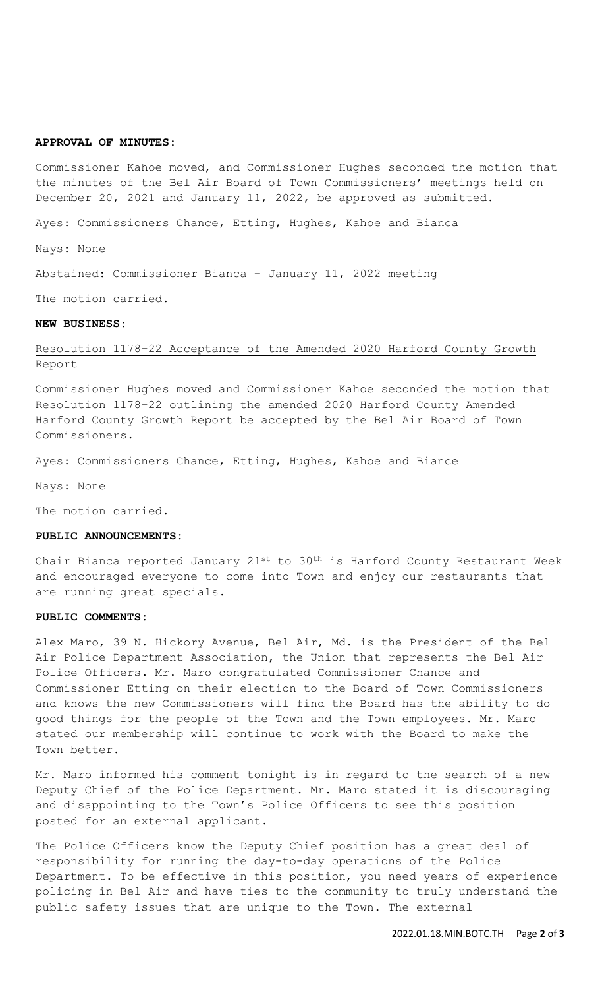#### **APPROVAL OF MINUTES:**

Commissioner Kahoe moved, and Commissioner Hughes seconded the motion that the minutes of the Bel Air Board of Town Commissioners' meetings held on December 20, 2021 and January 11, 2022, be approved as submitted.

Ayes: Commissioners Chance, Etting, Hughes, Kahoe and Bianca

Nays: None

Abstained: Commissioner Bianca – January 11, 2022 meeting

The motion carried.

## **NEW BUSINESS:**

# Resolution 1178-22 Acceptance of the Amended 2020 Harford County Growth Report

Commissioner Hughes moved and Commissioner Kahoe seconded the motion that Resolution 1178-22 outlining the amended 2020 Harford County Amended Harford County Growth Report be accepted by the Bel Air Board of Town Commissioners.

Ayes: Commissioners Chance, Etting, Hughes, Kahoe and Biance

Nays: None

The motion carried.

## **PUBLIC ANNOUNCEMENTS:**

Chair Bianca reported January 21st to 30<sup>th</sup> is Harford County Restaurant Week and encouraged everyone to come into Town and enjoy our restaurants that are running great specials.

#### **PUBLIC COMMENTS:**

Alex Maro, 39 N. Hickory Avenue, Bel Air, Md. is the President of the Bel Air Police Department Association, the Union that represents the Bel Air Police Officers. Mr. Maro congratulated Commissioner Chance and Commissioner Etting on their election to the Board of Town Commissioners and knows the new Commissioners will find the Board has the ability to do good things for the people of the Town and the Town employees. Mr. Maro stated our membership will continue to work with the Board to make the Town better.

Mr. Maro informed his comment tonight is in regard to the search of a new Deputy Chief of the Police Department. Mr. Maro stated it is discouraging and disappointing to the Town's Police Officers to see this position posted for an external applicant.

The Police Officers know the Deputy Chief position has a great deal of responsibility for running the day-to-day operations of the Police Department. To be effective in this position, you need years of experience policing in Bel Air and have ties to the community to truly understand the public safety issues that are unique to the Town. The external